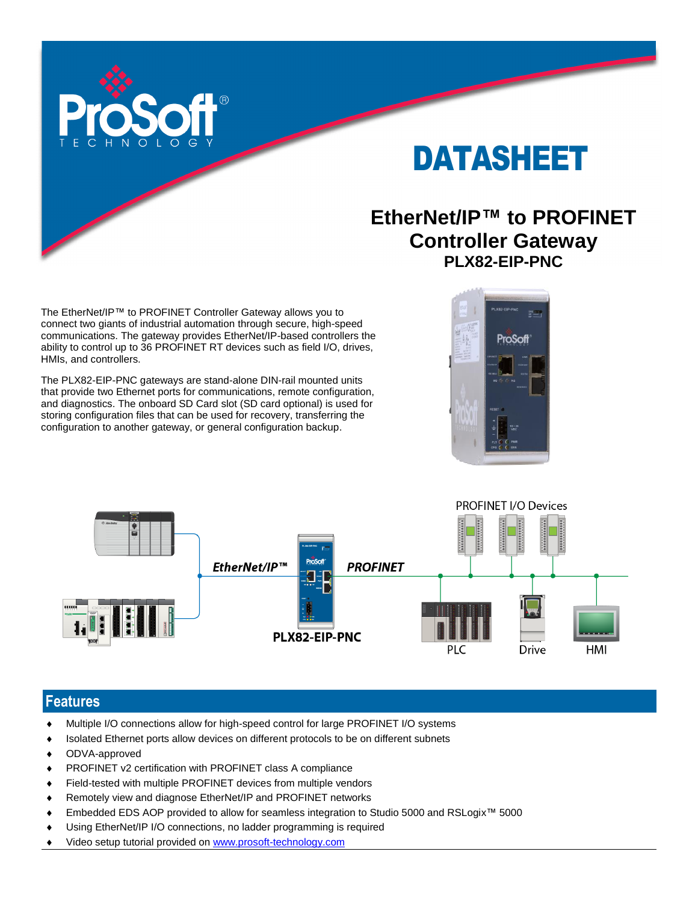

# DATASHEET

# **EtherNet/IP™ to PROFINET Controller Gateway PLX82-EIP-PNC**

The EtherNet/IP™ to PROFINET Controller Gateway allows you to connect two giants of industrial automation through secure, high-speed communications. The gateway provides EtherNet/IP-based controllers the ability to control up to 36 PROFINET RT devices such as field I/O, drives, HMIs, and controllers.

The PLX82-EIP-PNC gateways are stand-alone DIN-rail mounted units that provide two Ethernet ports for communications, remote configuration, and diagnostics. The onboard SD Card slot (SD card optional) is used for storing configuration files that can be used for recovery, transferring the configuration to another gateway, or general configuration backup.





#### **Features**

- Multiple I/O connections allow for high-speed control for large PROFINET I/O systems
- Isolated Ethernet ports allow devices on different protocols to be on different subnets
- ODVA-approved
- PROFINET v2 certification with PROFINET class A compliance
- Field-tested with multiple PROFINET devices from multiple vendors
- ◆ Remotely view and diagnose EtherNet/IP and PROFINET networks
- Embedded EDS AOP provided to allow for seamless integration to Studio 5000 and RSLogix™ 5000
- Using EtherNet/IP I/O connections, no ladder programming is required
- Video setup tutorial provided on [www.prosoft-technology.com](http://www.prosoft-technology.com/)